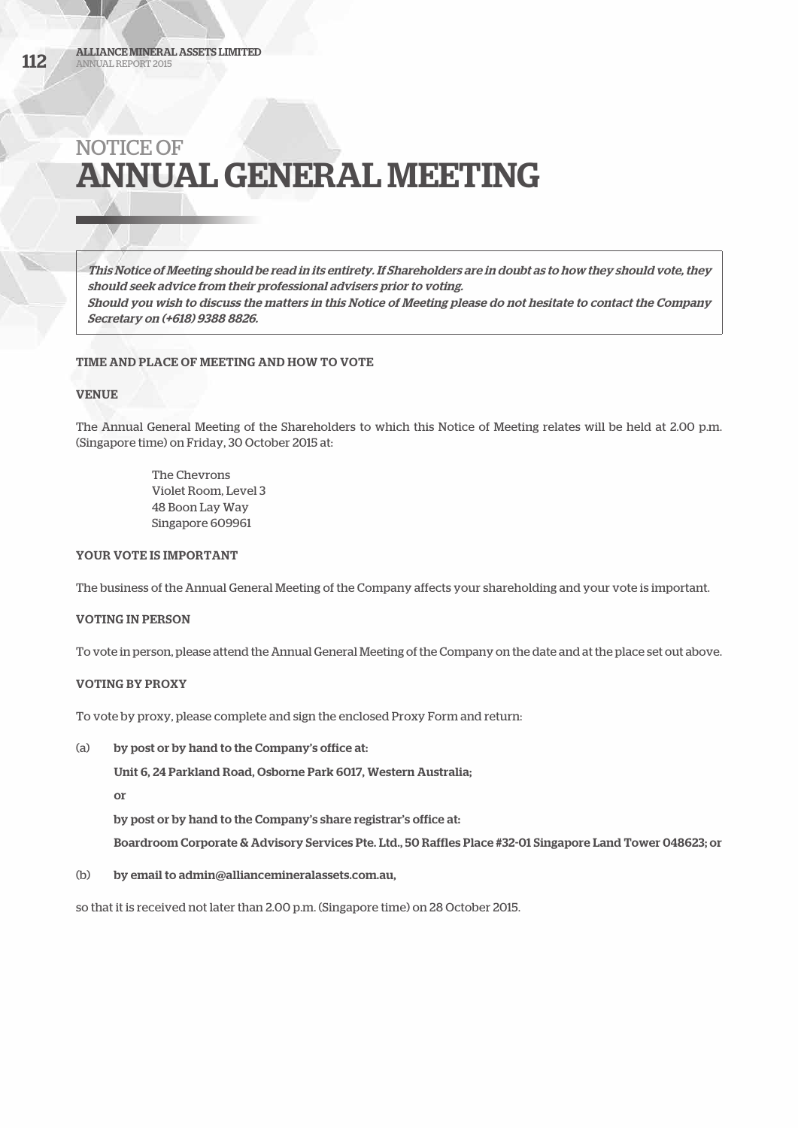This Notice of Meeting should be read in its entirety. If Shareholders are in doubt as to how they should vote, they should seek advice from their professional advisers prior to voting. Should you wish to discuss the matters in this Notice of Meeting please do not hesitate to contact the Company Secretary on (+618) 9388 8826.

# TIME AND PLACE OF MEETING AND HOW TO VOTE

# VENUE

The Annual General Meeting of the Shareholders to which this Notice of Meeting relates will be held at 2.00 p.m. (Singapore time) on Friday, 30 October 2015 at:

> The Chevrons Violet Room, Level 3 48 Boon Lay Way Singapore 609961

# YOUR VOTE IS IMPORTANT

The business of the Annual General Meeting of the Company affects your shareholding and your vote is important.

# VOTING IN PERSON

To vote in person, please attend the Annual General Meeting of the Company on the date and at the place set out above.

# VOTING BY PROXY

To vote by proxy, please complete and sign the enclosed Proxy Form and return:

(a) by post or by hand to the Company's office at:

Unit 6, 24 Parkland Road, Osborne Park 6017, Western Australia;

or

by post or by hand to the Company's share registrar's office at:

Boardroom Corporate & Advisory Services Pte. Ltd., 50 Raffles Place #32-01 Singapore Land Tower 048623; or

(b) by email to admin@alliancemineralassets.com.au,

so that it is received not later than 2.00 p.m. (Singapore time) on 28 October 2015.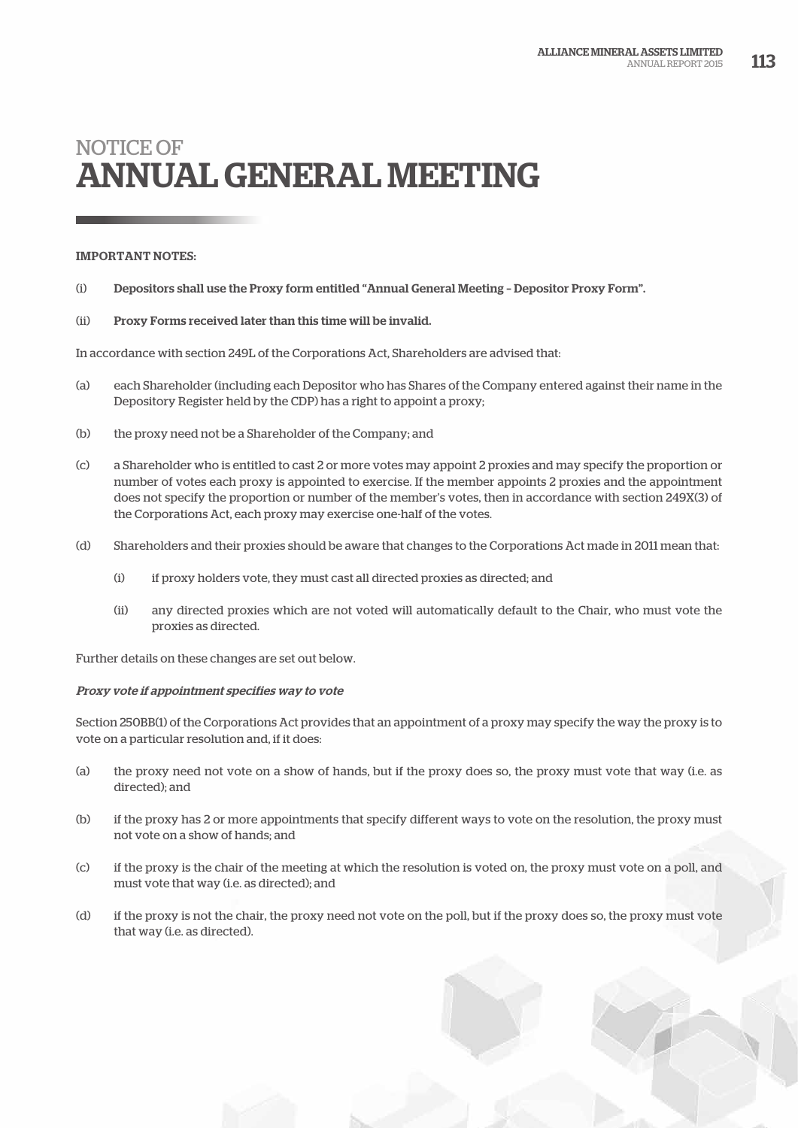# IMPORTANT NOTES:

- (i) Depositors shall use the Proxy form entitled "Annual General Meeting Depositor Proxy Form".
- (ii) Proxy Forms received later than this time will be invalid.

In accordance with section 249L of the Corporations Act, Shareholders are advised that:

- (a) each Shareholder (including each Depositor who has Shares of the Company entered against their name in the Depository Register held by the CDP) has a right to appoint a proxy;
- (b) the proxy need not be a Shareholder of the Company; and
- (c) a Shareholder who is entitled to cast 2 or more votes may appoint 2 proxies and may specify the proportion or number of votes each proxy is appointed to exercise. If the member appoints 2 proxies and the appointment does not specify the proportion or number of the member's votes, then in accordance with section 249X(3) of the Corporations Act, each proxy may exercise one-half of the votes.
- (d) Shareholders and their proxies should be aware that changes to the Corporations Act made in 2011 mean that:
	- (i) if proxy holders vote, they must cast all directed proxies as directed; and
	- (ii) any directed proxies which are not voted will automatically default to the Chair, who must vote the proxies as directed.

Further details on these changes are set out below.

#### Proxy vote if appointment specifies way to vote

Section 250BB(1) of the Corporations Act provides that an appointment of a proxy may specify the way the proxy is to vote on a particular resolution and, if it does:

- (a) the proxy need not vote on a show of hands, but if the proxy does so, the proxy must vote that way (i.e. as directed); and
- (b) if the proxy has 2 or more appointments that specify different ways to vote on the resolution, the proxy must not vote on a show of hands; and
- (c) if the proxy is the chair of the meeting at which the resolution is voted on, the proxy must vote on a poll, and must vote that way (i.e. as directed); and
- (d) if the proxy is not the chair, the proxy need not vote on the poll, but if the proxy does so, the proxy must vote that way (i.e. as directed).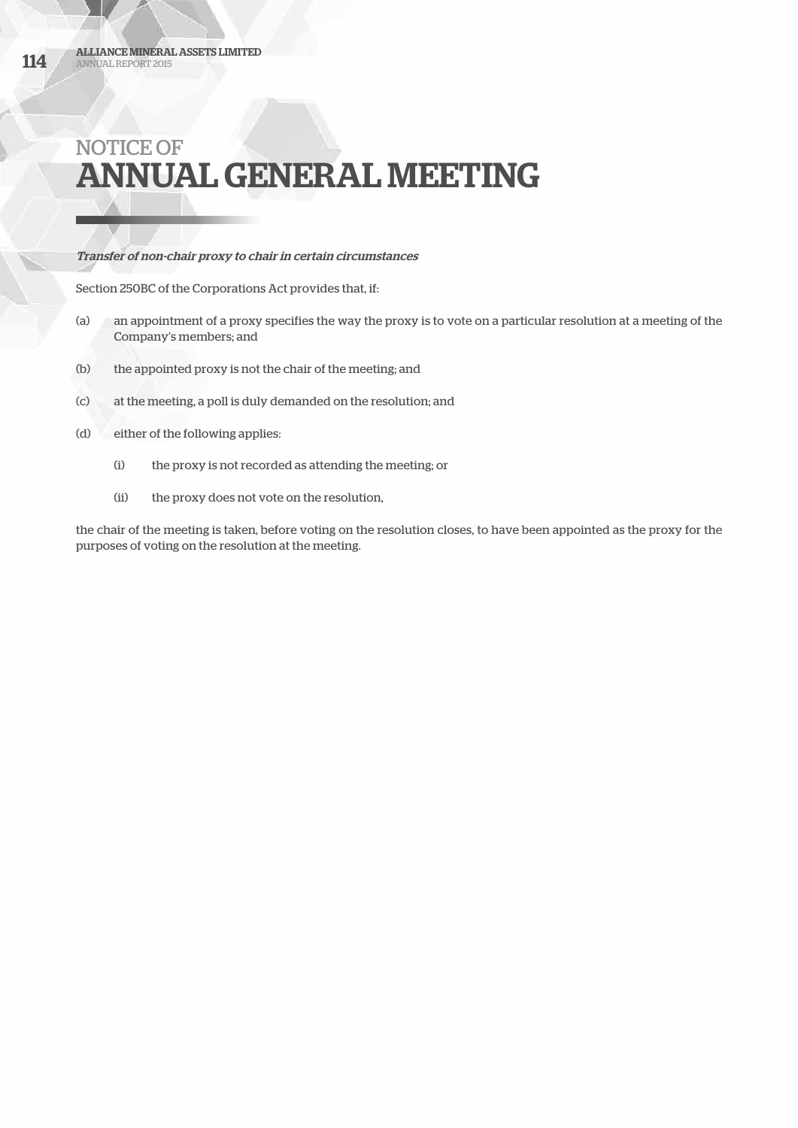# Transfer of non-chair proxy to chair in certain circumstances

Section 250BC of the Corporations Act provides that, if:

- (a) an appointment of a proxy specifies the way the proxy is to vote on a particular resolution at a meeting of the Company's members; and
- (b) the appointed proxy is not the chair of the meeting; and
- (c) at the meeting, a poll is duly demanded on the resolution; and
- (d) either of the following applies:
	- (i) the proxy is not recorded as attending the meeting; or
	- (ii) the proxy does not vote on the resolution,

the chair of the meeting is taken, before voting on the resolution closes, to have been appointed as the proxy for the purposes of voting on the resolution at the meeting.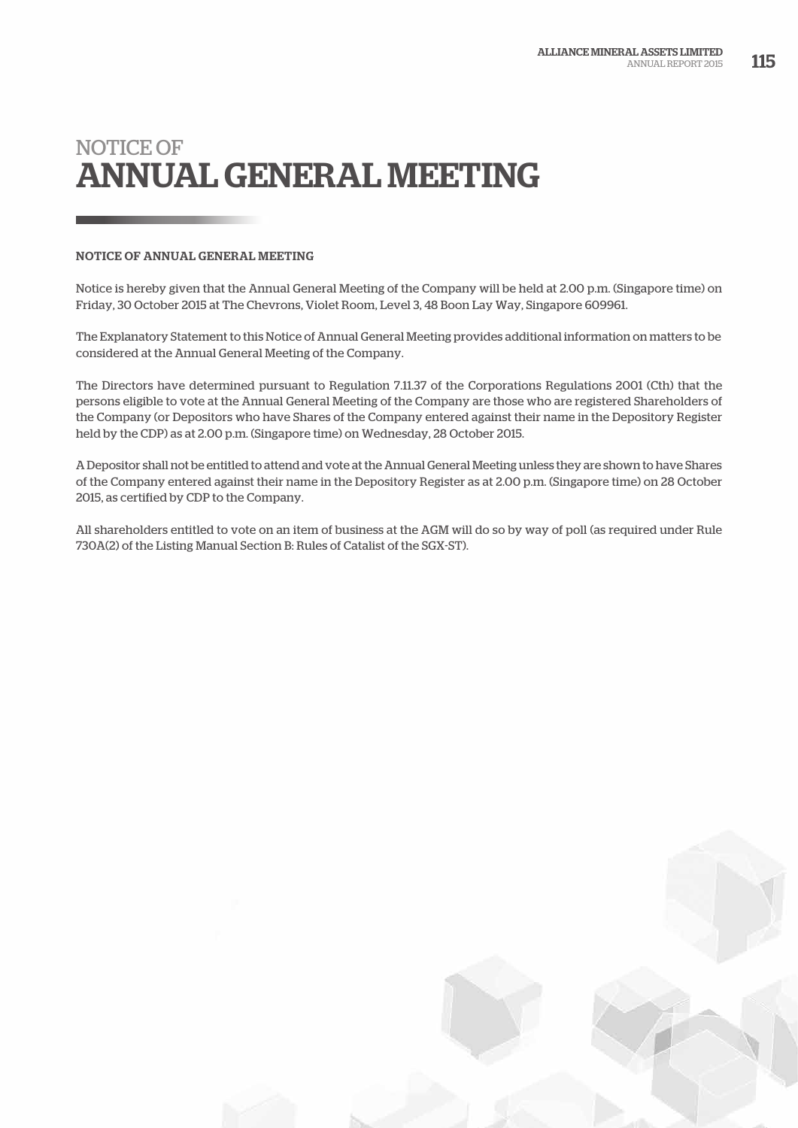# NOTICE OF ANNUAL GENERAL MEETING

Notice is hereby given that the Annual General Meeting of the Company will be held at 2.00 p.m. (Singapore time) on Friday, 30 October 2015 at The Chevrons, Violet Room, Level 3, 48 Boon Lay Way, Singapore 609961.

The Explanatory Statement to this Notice of Annual General Meeting provides additional information on matters to be considered at the Annual General Meeting of the Company.

The Directors have determined pursuant to Regulation 7.11.37 of the Corporations Regulations 2001 (Cth) that the persons eligible to vote at the Annual General Meeting of the Company are those who are registered Shareholders of the Company (or Depositors who have Shares of the Company entered against their name in the Depository Register held by the CDP) as at 2.00 p.m. (Singapore time) on Wednesday, 28 October 2015.

A Depositor shall not be entitled to attend and vote at the Annual General Meeting unless they are shown to have Shares of the Company entered against their name in the Depository Register as at 2.00 p.m. (Singapore time) on 28 October 2015, as certified by CDP to the Company.

All shareholders entitled to vote on an item of business at the AGM will do so by way of poll (as required under Rule 730A(2) of the Listing Manual Section B: Rules of Catalist of the SGX-ST).

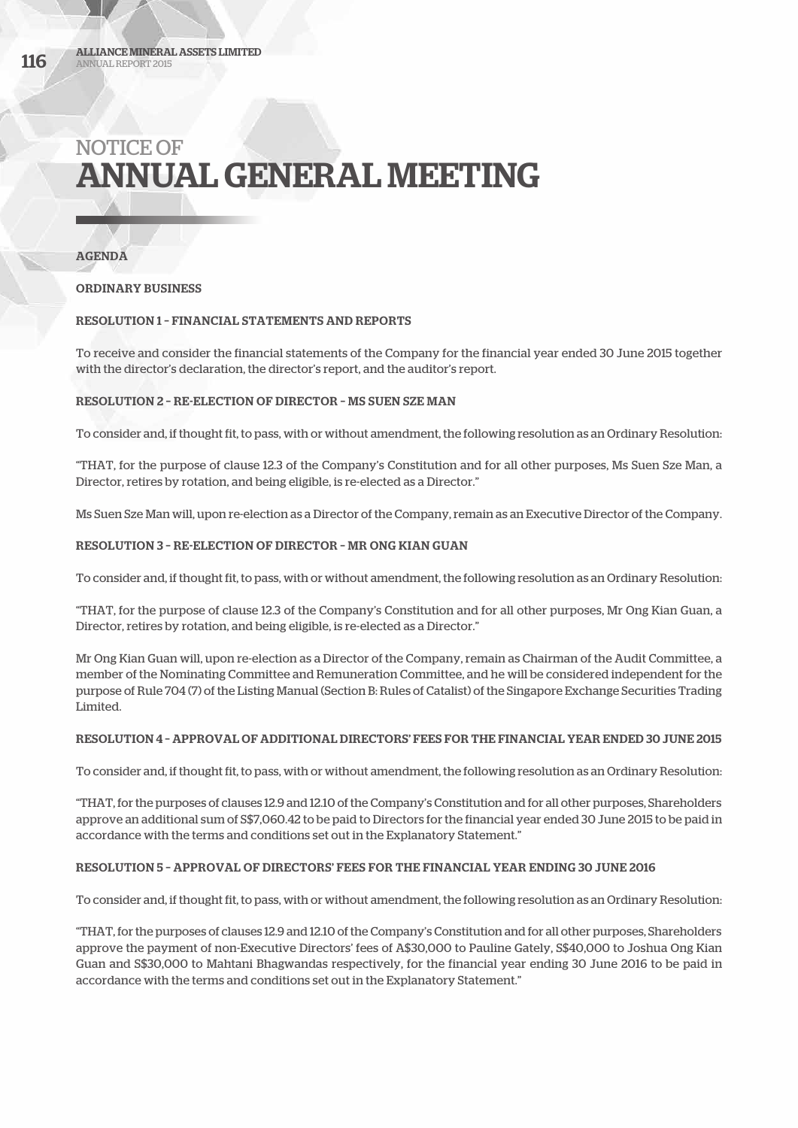AGENDA

ORDINARY BUSINESS

# RESOLUTION 1 – FINANCIAL STATEMENTS AND REPORTS

To receive and consider the financial statements of the Company for the financial year ended 30 June 2015 together with the director's declaration, the director's report, and the auditor's report.

# RESOLUTION 2 – RE-ELECTION OF DIRECTOR – MS SUEN SZE MAN

To consider and, if thought fit, to pass, with or without amendment, the following resolution as an Ordinary Resolution:

"THAT, for the purpose of clause 12.3 of the Company's Constitution and for all other purposes, Ms Suen Sze Man, a Director, retires by rotation, and being eligible, is re-elected as a Director."

Ms Suen Sze Man will, upon re-election as a Director of the Company, remain as an Executive Director of the Company.

# RESOLUTION 3 – RE-ELECTION OF DIRECTOR – MR ONG KIAN GUAN

To consider and, if thought fit, to pass, with or without amendment, the following resolution as an Ordinary Resolution:

"THAT, for the purpose of clause 12.3 of the Company's Constitution and for all other purposes, Mr Ong Kian Guan, a Director, retires by rotation, and being eligible, is re-elected as a Director."

Mr Ong Kian Guan will, upon re-election as a Director of the Company, remain as Chairman of the Audit Committee, a member of the Nominating Committee and Remuneration Committee, and he will be considered independent for the purpose of Rule 704 (7) of the Listing Manual (Section B: Rules of Catalist) of the Singapore Exchange Securities Trading Limited.

# RESOLUTION 4 – APPROVAL OF ADDITIONAL DIRECTORS' FEES FOR THE FINANCIAL YEAR ENDED 30 JUNE 2015

To consider and, if thought fit, to pass, with or without amendment, the following resolution as an Ordinary Resolution:

"THAT, for the purposes of clauses 12.9 and 12.10 of the Company's Constitution and for all other purposes, Shareholders approve an additional sum of S\$7,060.42 to be paid to Directors for the financial year ended 30 June 2015 to be paid in accordance with the terms and conditions set out in the Explanatory Statement."

# RESOLUTION 5 – APPROVAL OF DIRECTORS' FEES FOR THE FINANCIAL YEAR ENDING 30 JUNE 2016

To consider and, if thought fit, to pass, with or without amendment, the following resolution as an Ordinary Resolution:

"THAT, for the purposes of clauses 12.9 and 12.10 of the Company's Constitution and for all other purposes, Shareholders approve the payment of non-Executive Directors' fees of A\$30,000 to Pauline Gately, S\$40,000 to Joshua Ong Kian Guan and S\$30,000 to Mahtani Bhagwandas respectively, for the financial year ending 30 June 2016 to be paid in accordance with the terms and conditions set out in the Explanatory Statement."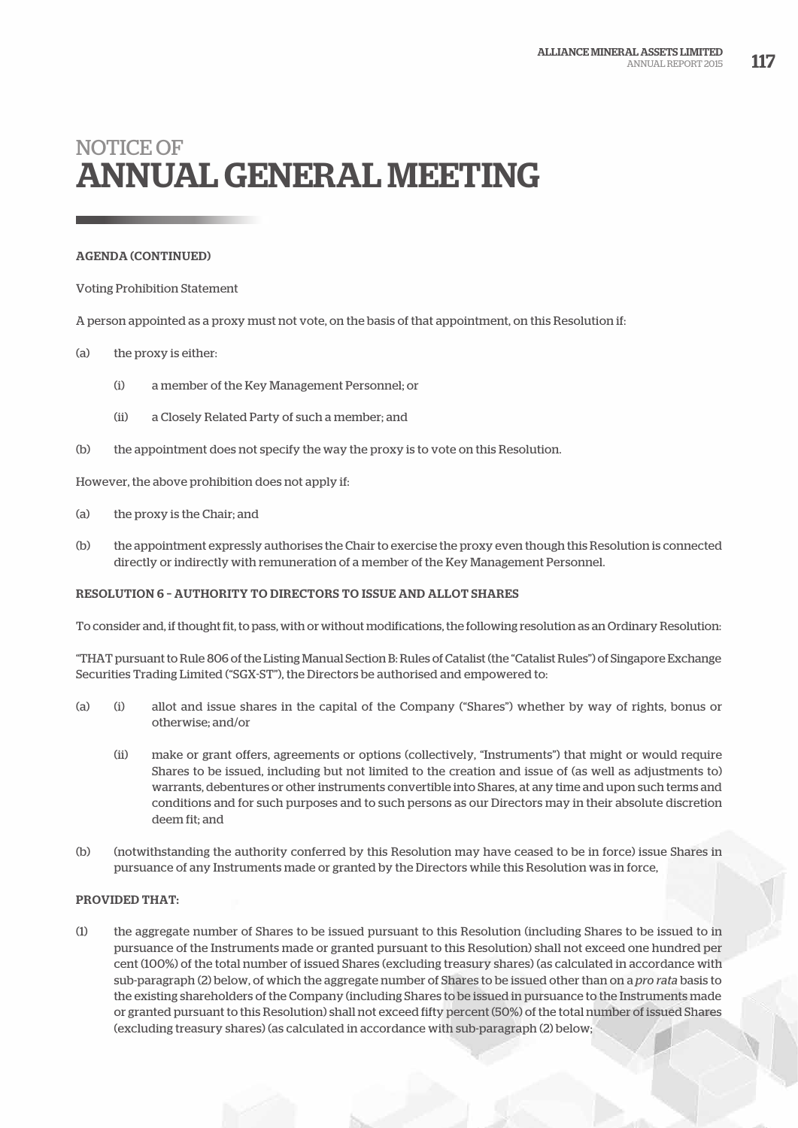### AGENDA (CONTINUED)

#### Voting Prohibition Statement

A person appointed as a proxy must not vote, on the basis of that appointment, on this Resolution if:

# (a) the proxy is either:

- (i) a member of the Key Management Personnel; or
- (ii) a Closely Related Party of such a member; and
- (b) the appointment does not specify the way the proxy is to vote on this Resolution.

However, the above prohibition does not apply if:

- (a) the proxy is the Chair; and
- (b) the appointment expressly authorises the Chair to exercise the proxy even though this Resolution is connected directly or indirectly with remuneration of a member of the Key Management Personnel.

# RESOLUTION 6 – AUTHORITY TO DIRECTORS TO ISSUE AND ALLOT SHARES

To consider and, if thought fit, to pass, with or without modifications, the following resolution as an Ordinary Resolution:

"THAT pursuant to Rule 806 of the Listing Manual Section B: Rules of Catalist (the "Catalist Rules") of Singapore Exchange Securities Trading Limited ("SGX-ST"), the Directors be authorised and empowered to:

- (a) (i) allot and issue shares in the capital of the Company ("Shares") whether by way of rights, bonus or otherwise; and/or
	- (ii) make or grant offers, agreements or options (collectively, "Instruments") that might or would require Shares to be issued, including but not limited to the creation and issue of (as well as adjustments to) warrants, debentures or other instruments convertible into Shares, at any time and upon such terms and conditions and for such purposes and to such persons as our Directors may in their absolute discretion deem fit; and
- (b) (notwithstanding the authority conferred by this Resolution may have ceased to be in force) issue Shares in pursuance of any Instruments made or granted by the Directors while this Resolution was in force,

#### PROVIDED THAT:

(1) the aggregate number of Shares to be issued pursuant to this Resolution (including Shares to be issued to in pursuance of the Instruments made or granted pursuant to this Resolution) shall not exceed one hundred per cent (100%) of the total number of issued Shares (excluding treasury shares) (as calculated in accordance with sub-paragraph (2) below, of which the aggregate number of Shares to be issued other than on a *pro rata* basis to the existing shareholders of the Company (including Shares to be issued in pursuance to the Instruments made or granted pursuant to this Resolution) shall not exceed fifty percent (50%) of the total number of issued Shares (excluding treasury shares) (as calculated in accordance with sub-paragraph (2) below;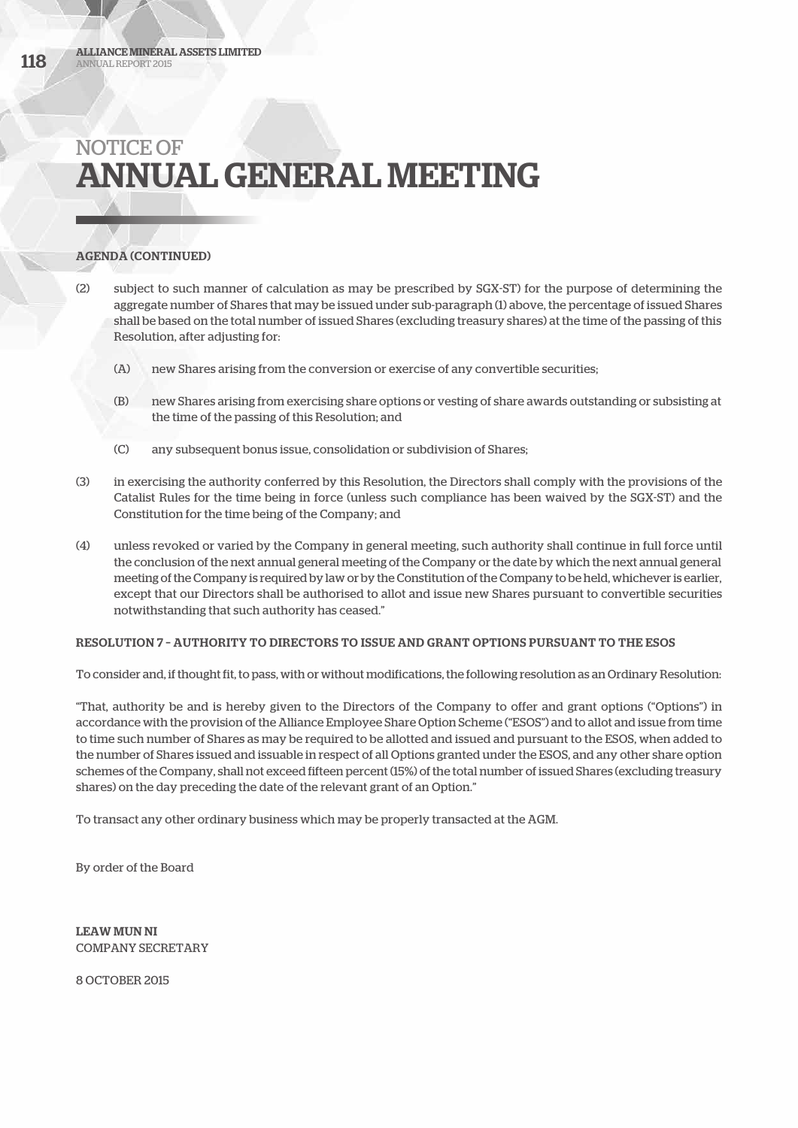# AGENDA (CONTINUED)

- (2) subject to such manner of calculation as may be prescribed by SGX-ST) for the purpose of determining the aggregate number of Shares that may be issued under sub-paragraph (1) above, the percentage of issued Shares shall be based on the total number of issued Shares (excluding treasury shares) at the time of the passing of this Resolution, after adjusting for:
	- (A) new Shares arising from the conversion or exercise of any convertible securities;
	- (B) new Shares arising from exercising share options or vesting of share awards outstanding or subsisting at the time of the passing of this Resolution; and
	- (C) any subsequent bonus issue, consolidation or subdivision of Shares;
- (3) in exercising the authority conferred by this Resolution, the Directors shall comply with the provisions of the Catalist Rules for the time being in force (unless such compliance has been waived by the SGX-ST) and the Constitution for the time being of the Company; and
- (4) unless revoked or varied by the Company in general meeting, such authority shall continue in full force until the conclusion of the next annual general meeting of the Company or the date by which the next annual general meeting of the Company is required by law or by the Constitution of the Company to be held, whichever is earlier, except that our Directors shall be authorised to allot and issue new Shares pursuant to convertible securities notwithstanding that such authority has ceased."

#### RESOLUTION 7 – AUTHORITY TO DIRECTORS TO ISSUE AND GRANT OPTIONS PURSUANT TO THE ESOS

To consider and, if thought fit, to pass, with or without modifications, the following resolution as an Ordinary Resolution:

"That, authority be and is hereby given to the Directors of the Company to offer and grant options ("Options") in accordance with the provision of the Alliance Employee Share Option Scheme ("ESOS") and to allot and issue from time to time such number of Shares as may be required to be allotted and issued and pursuant to the ESOS, when added to the number of Shares issued and issuable in respect of all Options granted under the ESOS, and any other share option schemes of the Company, shall not exceed fifteen percent (15%) of the total number of issued Shares (excluding treasury shares) on the day preceding the date of the relevant grant of an Option."

To transact any other ordinary business which may be properly transacted at the AGM.

By order of the Board

LEAW MUN NI COMPANY SECRETARY

8 OCTOBER 2015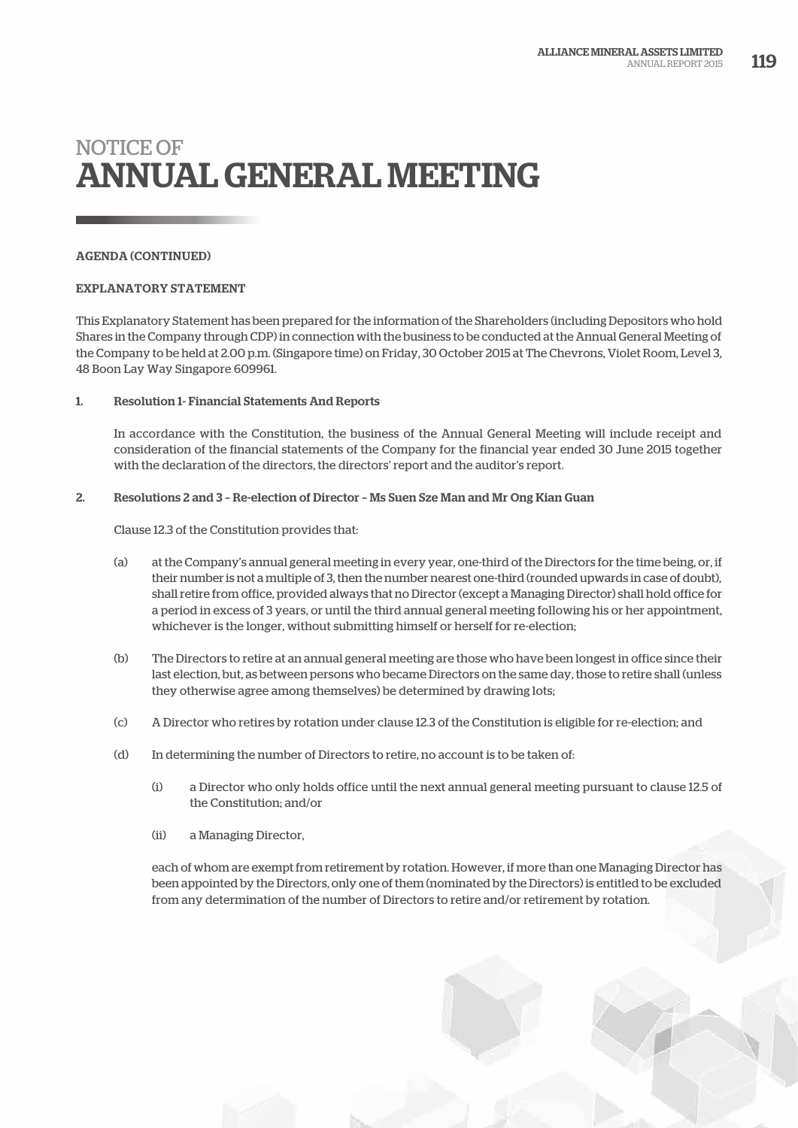# AGENDA (CONTINUED)

#### EXPLANATORY STATEMENT

This Explanatory Statement has been prepared for the information of the Shareholders (including Depositors who hold Shares in the Company through CDP) in connection with the business to be conducted at the Annual General Meeting of the Company to be held at 2.00 p.m. (Singapore time) on Friday, 30 October 2015 at The Chevrons, Violet Room, Level 3, 48 Boon Lay Way Singapore 609961.

#### 1. Resolution 1- Financial Statements And Reports

In accordance with the Constitution, the business of the Annual General Meeting will include receipt and consideration of the financial statements of the Company for the financial year ended 30 June 2015 together with the declaration of the directors, the directors' report and the auditor's report.

#### 2. Resolutions 2 and 3 – Re-election of Director – Ms Suen Sze Man and Mr Ong Kian Guan

#### Clause 12.3 of the Constitution provides that:

- (a) at the Company's annual general meeting in every year, one-third of the Directors for the time being, or, if their number is not a multiple of 3, then the number nearest one-third (rounded upwards in case of doubt), shall retire from office, provided always that no Director (except a Managing Director) shall hold office for a period in excess of 3 years, or until the third annual general meeting following his or her appointment, whichever is the longer, without submitting himself or herself for re-election;
- (b) The Directors to retire at an annual general meeting are those who have been longest in office since their last election, but, as between persons who became Directors on the same day, those to retire shall (unless they otherwise agree among themselves) be determined by drawing lots;
- (c) A Director who retires by rotation under clause 12.3 of the Constitution is eligible for re-election; and
- (d) In determining the number of Directors to retire, no account is to be taken of:
	- (i) a Director who only holds office until the next annual general meeting pursuant to clause 12.5 of the Constitution; and/or
	- (ii) a Managing Director,

each of whom are exempt from retirement by rotation. However, if more than one Managing Director has been appointed by the Directors, only one of them (nominated by the Directors) is entitled to be excluded from any determination of the number of Directors to retire and/or retirement by rotation.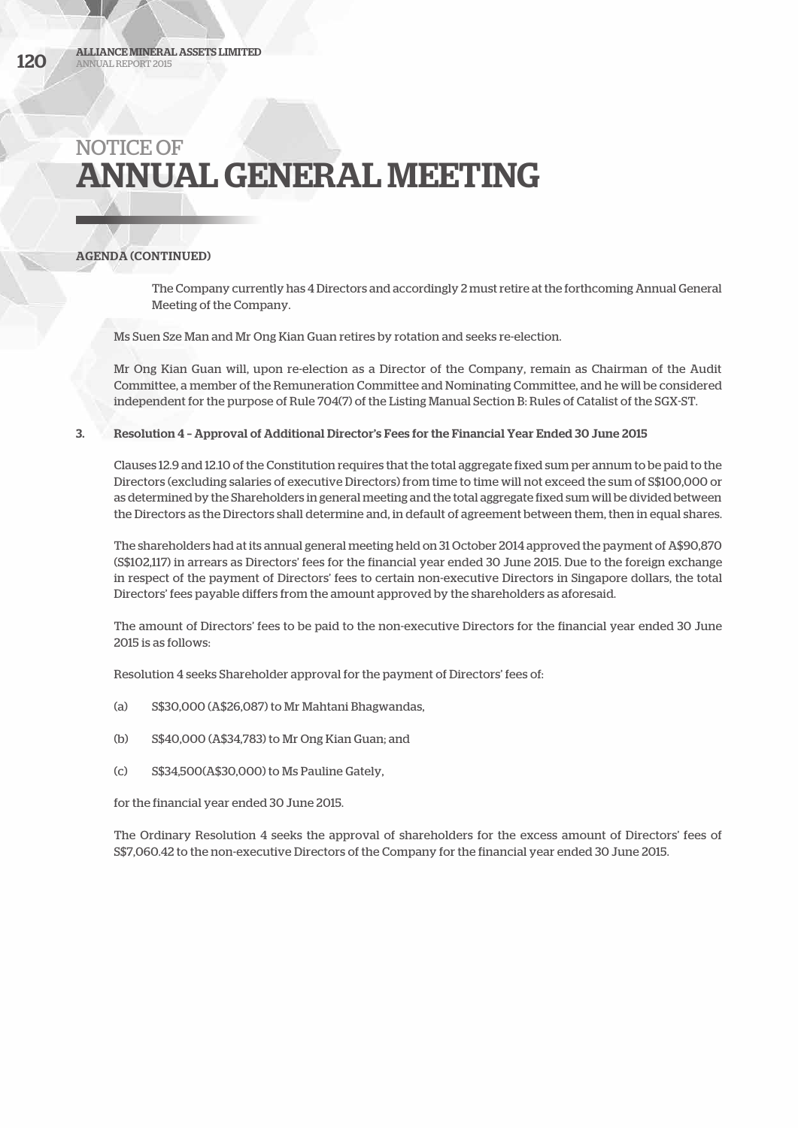# AGENDA (CONTINUED)

The Company currently has 4 Directors and accordingly 2 must retire at the forthcoming Annual General Meeting of the Company.

Ms Suen Sze Man and Mr Ong Kian Guan retires by rotation and seeks re-election.

Mr Ong Kian Guan will, upon re-election as a Director of the Company, remain as Chairman of the Audit Committee, a member of the Remuneration Committee and Nominating Committee, and he will be considered independent for the purpose of Rule 704(7) of the Listing Manual Section B: Rules of Catalist of the SGX-ST.

#### 3. Resolution 4 – Approval of Additional Director's Fees for the Financial Year Ended 30 June 2015

Clauses 12.9 and 12.10 of the Constitution requires that the total aggregate fixed sum per annum to be paid to the Directors (excluding salaries of executive Directors) from time to time will not exceed the sum of S\$100,000 or as determined by the Shareholders in general meeting and the total aggregate fixed sum will be divided between the Directors as the Directors shall determine and, in default of agreement between them, then in equal shares.

The shareholders had at its annual general meeting held on 31 October 2014 approved the payment of A\$90,870 (S\$102,117) in arrears as Directors' fees for the financial year ended 30 June 2015. Due to the foreign exchange in respect of the payment of Directors' fees to certain non-executive Directors in Singapore dollars, the total Directors' fees payable differs from the amount approved by the shareholders as aforesaid.

The amount of Directors' fees to be paid to the non-executive Directors for the financial year ended 30 June 2015 is as follows:

Resolution 4 seeks Shareholder approval for the payment of Directors' fees of:

- (a) S\$30,000 (A\$26,087) to Mr Mahtani Bhagwandas,
- (b) S\$40,000 (A\$34,783) to Mr Ong Kian Guan; and
- (c) S\$34,500(A\$30,000) to Ms Pauline Gately,

for the financial year ended 30 June 2015.

The Ordinary Resolution 4 seeks the approval of shareholders for the excess amount of Directors' fees of S\$7,060.42 to the non-executive Directors of the Company for the financial year ended 30 June 2015.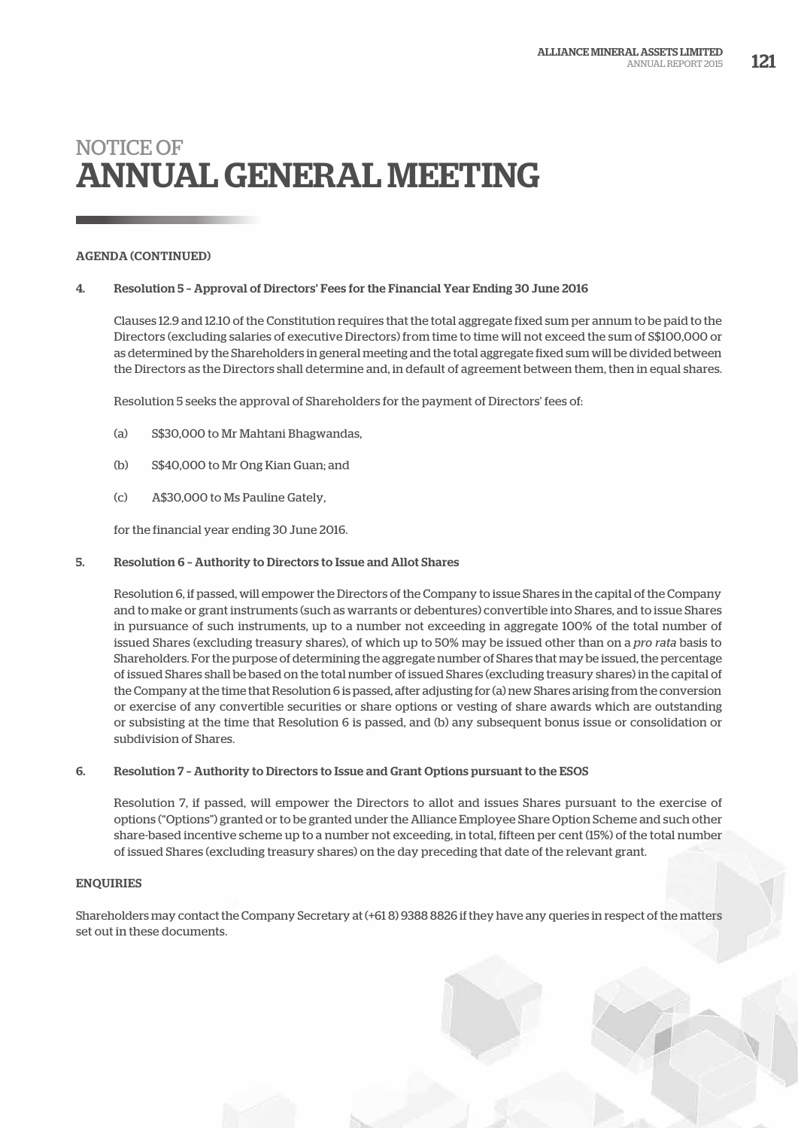# AGENDA (CONTINUED)

#### 4. Resolution 5 – Approval of Directors' Fees for the Financial Year Ending 30 June 2016

Clauses 12.9 and 12.10 of the Constitution requires that the total aggregate fixed sum per annum to be paid to the Directors (excluding salaries of executive Directors) from time to time will not exceed the sum of S\$100,000 or as determined by the Shareholders in general meeting and the total aggregate fixed sum will be divided between the Directors as the Directors shall determine and, in default of agreement between them, then in equal shares.

Resolution 5 seeks the approval of Shareholders for the payment of Directors' fees of:

- (a) S\$30,000 to Mr Mahtani Bhagwandas,
- (b) S\$40,000 to Mr Ong Kian Guan; and
- (c) A\$30,000 to Ms Pauline Gately,

for the financial year ending 30 June 2016.

#### 5. Resolution 6 – Authority to Directors to Issue and Allot Shares

Resolution 6, if passed, will empower the Directors of the Company to issue Shares in the capital of the Company and to make or grant instruments (such as warrants or debentures) convertible into Shares, and to issue Shares in pursuance of such instruments, up to a number not exceeding in aggregate 100% of the total number of issued Shares (excluding treasury shares), of which up to 50% may be issued other than on a *pro rata* basis to Shareholders. For the purpose of determining the aggregate number of Shares that may be issued, the percentage of issued Shares shall be based on the total number of issued Shares (excluding treasury shares) in the capital of the Company at the time that Resolution 6 is passed, after adjusting for (a) new Shares arising from the conversion or exercise of any convertible securities or share options or vesting of share awards which are outstanding or subsisting at the time that Resolution 6 is passed, and (b) any subsequent bonus issue or consolidation or subdivision of Shares.

#### 6. Resolution 7 – Authority to Directors to Issue and Grant Options pursuant to the ESOS

Resolution 7, if passed, will empower the Directors to allot and issues Shares pursuant to the exercise of options ("Options") granted or to be granted under the Alliance Employee Share Option Scheme and such other share-based incentive scheme up to a number not exceeding, in total, fifteen per cent (15%) of the total number of issued Shares (excluding treasury shares) on the day preceding that date of the relevant grant.

# ENQUIRIES

Shareholders may contact the Company Secretary at (+61 8) 9388 8826 if they have any queries in respect of the matters set out in these documents.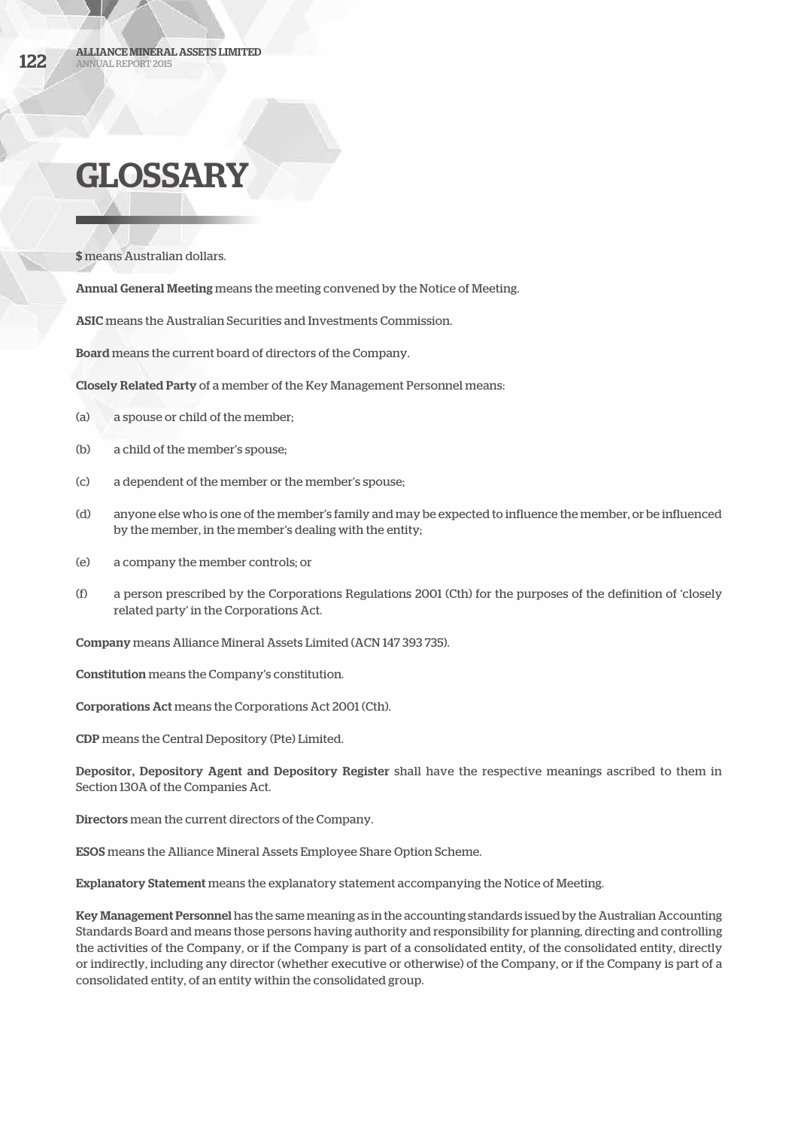# GLOSSARY

\$ means Australian dollars.

Annual General Meeting means the meeting convened by the Notice of Meeting.

ASIC means the Australian Securities and Investments Commission.

Board means the current board of directors of the Company.

Closely Related Party of a member of the Key Management Personnel means:

- (a) a spouse or child of the member;
- (b) a child of the member's spouse;
- (c) a dependent of the member or the member's spouse;
- (d) anyone else who is one of the member's family and may be expected to influence the member, or be influenced by the member, in the member's dealing with the entity;
- (e) a company the member controls; or
- (f) a person prescribed by the Corporations Regulations 2001 (Cth) for the purposes of the definition of 'closely related party' in the Corporations Act.

Company means Alliance Mineral Assets Limited (ACN 147 393 735).

Constitution means the Company's constitution.

Corporations Act means the Corporations Act 2001 (Cth).

CDP means the Central Depository (Pte) Limited.

Depositor, Depository Agent and Depository Register shall have the respective meanings ascribed to them in Section 130A of the Companies Act.

Directors mean the current directors of the Company.

ESOS means the Alliance Mineral Assets Employee Share Option Scheme.

Explanatory Statement means the explanatory statement accompanying the Notice of Meeting.

Key Management Personnel has the same meaning as in the accounting standards issued by the Australian Accounting Standards Board and means those persons having authority and responsibility for planning, directing and controlling the activities of the Company, or if the Company is part of a consolidated entity, of the consolidated entity, directly or indirectly, including any director (whether executive or otherwise) of the Company, or if the Company is part of a consolidated entity, of an entity within the consolidated group.